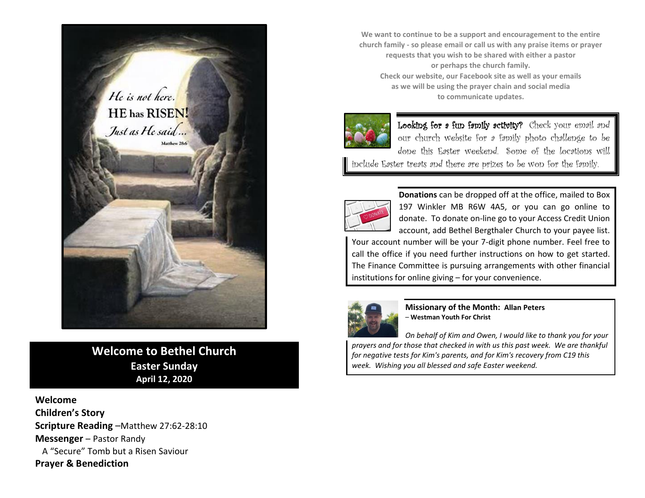

**Welcome to Bethel Church Easter Sunday April 12, 2020**

**Welcome Children's Story Scripture Reading** –Matthew 27:62-28:10 **Messenger** – Pastor Randy A "Secure" Tomb but a Risen Saviour **Prayer & Benediction**

**We want to continue to be a support and encouragement to the entire church family - so please email or call us with any praise items or prayer requests that you wish to be shared with either a pastor or perhaps the church family. Check our website, our Facebook site as well as your emails as we will be using the prayer chain and social media to communicate updates.**



Looking for a fun family activity? Check your email and our church website for a family photo challenge to be done this Easter weekend. Some of the locations will include Easter treats and there are prizes to be won for the family.



**Donations** can be dropped off at the office, mailed to Box 197 Winkler MB R6W 4A5, or you can go online to donate. To donate on-line go to your Access Credit Union account, add Bethel Bergthaler Church to your payee list.

Your account number will be your 7-digit phone number. Feel free to call the office if you need further instructions on how to get started. The Finance Committee is pursuing arrangements with other financial institutions for online giving – for your convenience.



**Missionary of the Month: Allan Peters** – **Westman Youth For Christ**

*On behalf of Kim and Owen, I would like to thank you for your prayers and for those that checked in with us this past week. We are thankful for negative tests for Kim's parents, and for Kim's recovery from C19 this week. Wishing you all blessed and safe Easter weekend.*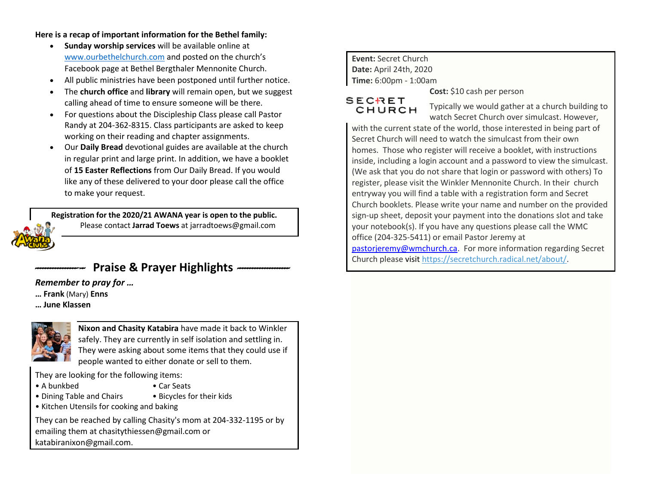**Here is a recap of important information for the Bethel family:**

- **Sunday worship services** will be available online at [www.ourbethelchurch.com](http://www.ourbethelchurch.com/) and posted on the church's Facebook page at Bethel Bergthaler Mennonite Church.
- All public ministries have been postponed until further notice.
- The **church office** and **library** will remain open, but we suggest calling ahead of time to ensure someone will be there.
- For questions about the Discipleship Class please call Pastor Randy at 204-362-8315. Class participants are asked to keep working on their reading and chapter assignments.
- Our **Daily Bread** devotional guides are available at the church in regular print and large print. In addition, we have a booklet of **15 Easter Reflections** from Our Daily Bread. If you would like any of these delivered to your door please call the office to make your request.

**Registration for the 2020/21 AWANA year is open to the public.** Please contact **Jarrad Toews** at [jarradtoews@gmail.com](mailto:jarradtoews@gmail.com)

*--------------------* **Praise & Prayer Highlights** *---------------------* 

*Remember to pray for …*

- **… Frank** (Mary) **Enns**
- **… June Klassen**



**Nixon and Chasity Katabira** have made it back to Winkler safely. They are currently in self isolation and settling in. They were asking about some items that they could use if people wanted to either donate or sell to them.

They are looking for the following items:

- A bunkbed Car Seats
- 
- Dining Table and Chairs Bicycles for their kids
- Kitchen Utensils for cooking and baking

They can be reached by calling Chasity's mom at 204-332-1195 or by emailing them at chasitythiessen@gmail.com or katabiranixon@gmail.com.

## **Event:** Secret Church **Date:** April 24th, 2020 **Time:** 6:00pm - 1:00am

## SECRET CHURCH

Typically we would gather at a church building to

watch Secret Church over simulcast. However, with the current state of the world, those interested in being part of Secret Church will need to watch the simulcast from their own homes. Those who register will receive a booklet, with instructions inside, including a login account and a password to view the simulcast. (We ask that you do not share that login or password with others) To register, please visit the Winkler Mennonite Church. In their church entryway you will find a table with a registration form and Secret Church booklets. Please write your name and number on the provided sign-up sheet, deposit your payment into the donations slot and take your notebook(s). If you have any questions please call the WMC office (204-325-5411) or email Pastor Jeremy at [pastorjeremy@wmchurch.ca.](mailto:pastorjeremy@wmchurch.ca) For more information regarding Secret Church please visit [https://secretchurch.radical.net/about/.](https://secretchurch.radical.net/about/)

**Cost:** \$10 cash per person